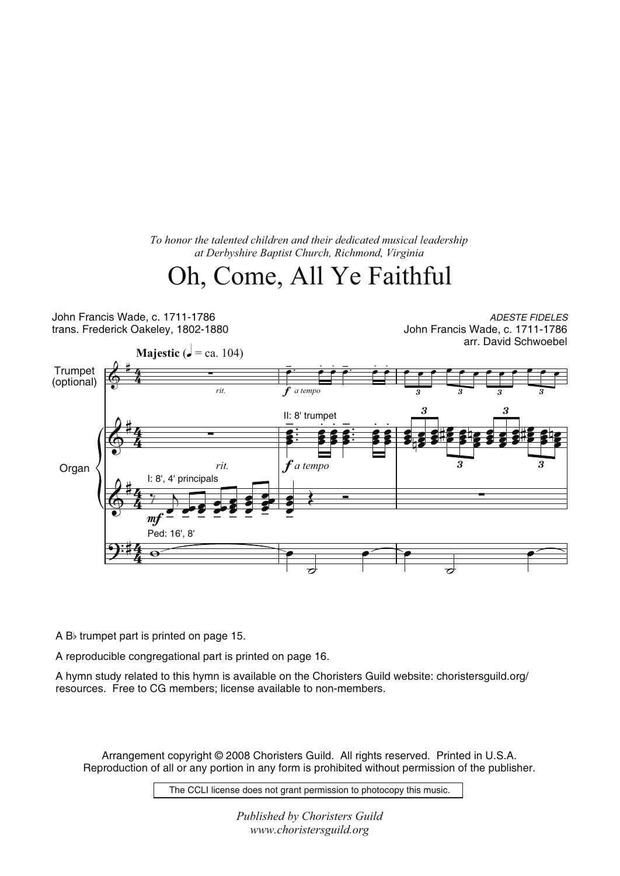*To honor the talented children and their dedicated musical leadership at Derbyshire Baptist Church, Richmond, Virginia*

## Oh, Come, All Ye Faithful

John Francis Wade, c. 1711-1786 trans. Frederick Oakeley, 1802-1880

ADESTE FIDELES John Francis Wade, c. 1711-1786 arr. David Schwoebel



A Bb trumpet part is printed on page 15.

A reproducible congregational part is printed on page 16.

A hymn study related to this hymn is available on the Choristers Guild website: choristersguild.org/ resources. Free to CG members; license available to non-members.

Arrangement copyright © 2008 Choristers Guild. All rights reserved. Printed in U.S.A. Reproduction of all or any portion in any form is prohibited without permission of the publisher.

The CCLI license does not grant permission to photocopy this music.

*Published by Choristers Guild www.choristersguild.org*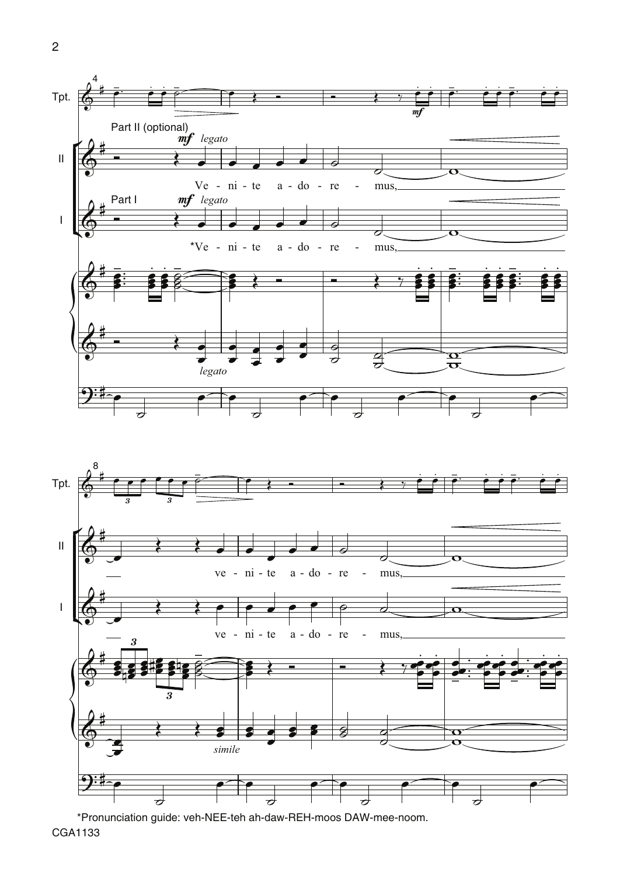



\*Pronunciation guide: veh-NEE-teh ah-daw-REH-moos DAW-mee-noom. CGA1133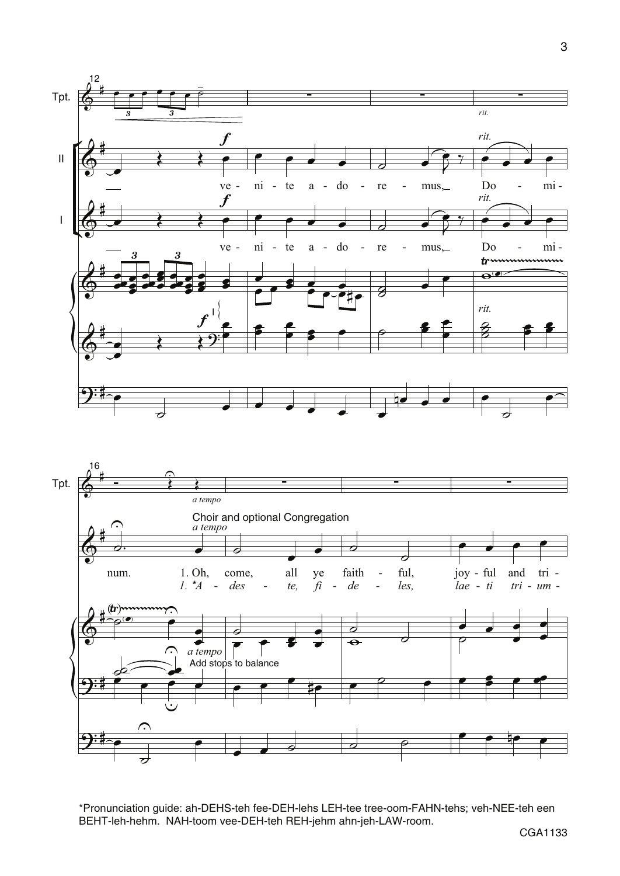



\*Pronunciation guide: ah-DEHS-teh fee-DEH-lehs LEH-tee tree-oom-FAHN-tehs; veh-NEE-teh een BEHT-leh-hehm. NAH-toom vee-DEH-teh REH-jehm ahn-jeh-LAW-room.